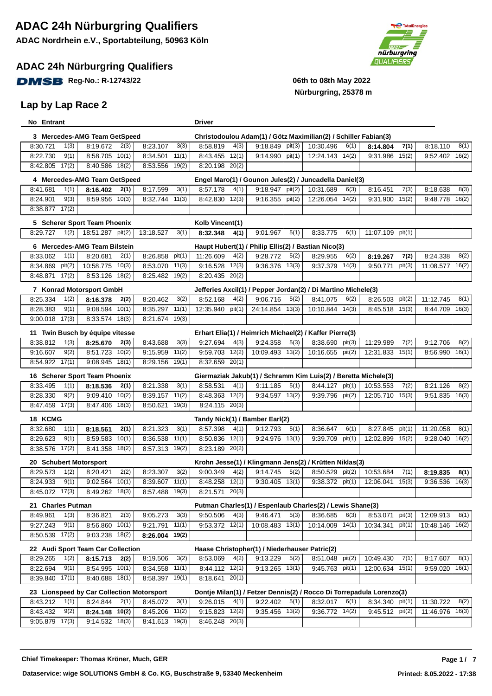#### **ADAC 24h Nürburgring Qualifiers**

**DMSB** Reg-No.: R-12743/22 **12.1399 12.15 12.16 12.16 12.16 12.16 12.16 12.16 12.16 12.16 12.16 12.16 12.16 12.16** 

#### **Lap by Lap Race 2**



| No Entrant             |                                           |                    | Driver                                                         |                                                                      |                     |        |                  |        |                    |       |
|------------------------|-------------------------------------------|--------------------|----------------------------------------------------------------|----------------------------------------------------------------------|---------------------|--------|------------------|--------|--------------------|-------|
|                        | 3 Mercedes-AMG Team GetSpeed              |                    |                                                                | Christodoulou Adam(1) / Götz Maximilian(2) / Schiller Fabian(3)      |                     |        |                  |        |                    |       |
| 1(3)<br>8:30.721       | 8:19.672<br>2(3)                          | 8:23.107<br>3(3)   | 8:58.819<br>4(3)                                               | pit(3)<br>9:18.849                                                   | 10:30.496           | 6(1)   | 8:14.804         | 7(1)   | 8:18.110           | 8(1)  |
| 9(1)<br>8:22.730       | $8:58.705$ $10(1)$                        | 8:34.501<br>11(1)  | 12(1)<br>8:43.455                                              | 9:14.990 pit(1)                                                      | $12:24.143$ $14(2)$ |        | 9:31.986         | 15(2)  | 9:52.402 16(2)     |       |
| 17(2)<br>8:42.805      | 8:40.586 18(2)                            | 8:53.556 19(2)     | 8:20.198 20(2)                                                 |                                                                      |                     |        |                  |        |                    |       |
|                        | 4 Mercedes-AMG Team GetSpeed              |                    |                                                                | Engel Maro(1) / Gounon Jules(2) / Juncadella Daniel(3)               |                     |        |                  |        |                    |       |
| 8:41.681<br>1(1)       | 2(1)<br>8:16.402                          | 8:17.599<br>3(1)   | 8:57.178<br>4(1)                                               | 9:18.947 pit(2)                                                      | 10:31.689           | 6(3)   | 8:16.451         | 7(3)   | 8:18.638           | 8(3)  |
| 9(3)<br>8:24.901       | 8:59.956 10(3)                            | 8:32.744 11(3)     | 8:42.830<br>12(3)                                              | $9:16.355$ pit(2)                                                    | 12:26.054 14(2)     |        | 9:31.900         | 15(2)  | 9:48.778           | 16(2) |
| 8:38.877 17(2)         |                                           |                    |                                                                |                                                                      |                     |        |                  |        |                    |       |
|                        | 5 Scherer Sport Team Phoenix              |                    | Kolb Vincent(1)                                                |                                                                      |                     |        |                  |        |                    |       |
| 8:29.727<br>1(2)       | 18:51.287 pit(2)                          | 13:18.527<br>3(1)  | 8:32.348<br>4(1)                                               | 5(1)<br>9:01.967                                                     | 8:33.775            | 6(1)   | 11:07.109 pit(1) |        |                    |       |
|                        | 6 Mercedes-AMG Team Bilstein              |                    |                                                                | Haupt Hubert(1) / Philip Ellis(2) / Bastian Nico(3)                  |                     |        |                  |        |                    |       |
| 1(1)<br>8:33.062       | 8:20.681<br>2(1)                          | 8:26.858<br>pit(1) | 11:26.609<br>4(2)                                              | 9:28.772<br>5(2)                                                     | 8:29.955            | 6(2)   | 8:19.267         | 7(2)   | 8:24.338           | 8(2)  |
| 8:34.869<br>pit(2)     | 10:58.775<br>10(3)                        | 8:53.070 11(3)     | 9:16.528<br>12(3)                                              | 9:36.376 13(3)                                                       | 9:37.379 14(3)      |        | 9:50.771         | pit(3) | 11:08.577 16(2)    |       |
| 8:48.871<br>17(2)      | 8:53.126 18(2)                            | 8:25.482 19(2)     | 8:20.435 20(2)                                                 |                                                                      |                     |        |                  |        |                    |       |
|                        | 7 Konrad Motorsport GmbH                  |                    |                                                                | Jefferies Axcil(1) / Pepper Jordan(2) / Di Martino Michele(3)        |                     |        |                  |        |                    |       |
| 8:25.334<br>1(2)       | 8:16.378<br>2(2)                          | 8:20.462<br>3(2)   | 8:52.168<br>4(2)                                               | 9:06.716<br>5(2)                                                     | 8:41.075            | 6(2)   | 8:26.503         | pit(2) | 11:12.745          | 8(1)  |
| 8:28.383<br>9(1)       | $9:08.594$ $10(1)$                        | 11(1)<br>8:35.297  | 12:35.940 pit(1)                                               | 24:14.854 13(3)                                                      | 10:10.844 14(3)     |        | 8:45.518 15(3)   |        | 8:44.709 16(3)     |       |
| $9:00.018$ 17(3)       | 8:33.574 18(3)                            | 8:21.674 19(3)     |                                                                |                                                                      |                     |        |                  |        |                    |       |
|                        | 11 Twin Busch by équipe vitesse           |                    |                                                                | Erhart Elia(1) / Heimrich Michael(2) / Kaffer Pierre(3)              |                     |        |                  |        |                    |       |
| 1(3)<br>8:38.812       | 8:25.670<br>2(3)                          | 3(3)<br>8:43.688   | 9:27.694<br>4(3)                                               | 9:24.358<br>5(3)                                                     | 8:38.690 pit(3)     |        | 11:29.989        | 7(2)   | 9:12.706           | 8(2)  |
| 9(2)<br>9:16.607       | 8:51.723 10(2)                            | 11(2)<br>9:15.959  | 9:59.703 12(2)                                                 | 10:09.493 13(2)                                                      | 10:16.655 pit(2)    |        | 12:31.833        | 15(1)  | 8:56.990 16(1)     |       |
| 8:54.922 17(1)         | 9:08.945 18(1)                            | 8:29.156 19(1)     | 8:32.659 20(1)                                                 |                                                                      |                     |        |                  |        |                    |       |
|                        | 16 Scherer Sport Team Phoenix             |                    | Giermaziak Jakub(1) / Schramm Kim Luis(2) / Beretta Michele(3) |                                                                      |                     |        |                  |        |                    |       |
|                        |                                           |                    |                                                                |                                                                      |                     |        |                  |        |                    |       |
| 1(1)<br>8:33.495       | 8:18.536<br>2(1)                          | 3(1)<br>8:21.338   | 4(1)<br>8:58.531                                               | 5(1)<br>9:11.185                                                     | 8:44.127 pit(1)     |        | 10:53.553        | 7(2)   | 8:21.126           | 8(2)  |
| 9(2)<br>8:28.330       | 9:09.410 10(2)                            | 11(2)<br>8:39.157  | 12(2)<br>8:48.363                                              | $9:34.597$ $13(2)$                                                   | $9:39.796$ pit(2)   |        | 12:05.710        | 15(3)  | $9:51.835$ $16(3)$ |       |
| 17(3)<br>8:47.459      | 8:47.406 18(3)                            | 19(3)<br>8:50.621  | 8:24.115 20(3)                                                 |                                                                      |                     |        |                  |        |                    |       |
| 18 KCMG                |                                           |                    | Tandy Nick(1) / Bamber Earl(2)                                 |                                                                      |                     |        |                  |        |                    |       |
| 8:32.680<br>1(1)       | 2(1)<br>8:18.561                          | 8:21.323<br>3(1)   | 8:57.398<br>4(1)                                               | 9:12.793<br>5(1)                                                     | 8:36.647            | 6(1)   | 8:27.845         | pit(1) | 11:20.058          | 8(1)  |
| 8:29.623<br>9(1)       | 8:59.583<br>10(1)                         | 8:36.538<br>11(1)  | 8:50.836<br>12(1)                                              | 9:24.976 13(1)                                                       | 9:39.709            | pit(1) | 12:02.899        | 15(2)  | 9:28.040           | 16(2) |
| 8:38.576<br>17(2)      | 8:41.358 18(2)                            | 8:57.313 19(2)     | 8:23.189 20(2)                                                 |                                                                      |                     |        |                  |        |                    |       |
| 20 Schubert Motorsport |                                           |                    |                                                                | Krohn Jesse(1) / Klingmann Jens(2) / Krütten Niklas(3)               |                     |        |                  |        |                    |       |
| 8:29.573<br>1(2)       | 2(2)<br>8:20.421                          | 8:23.307<br>3(2)   | 9:00.349<br>4(2)                                               | 9:14.745<br>5(2)                                                     | 8:50.529            | pit(2) | 10:53.684        | 7(1)   | 8:19.835           | 8(1)  |
| 9(1)<br>8:24.933       | $9:02.564$ 10(1)                          | $8:39.607$ 11(1)   | $8:48.258$ $12(1)$                                             | $9:30.405$ $13(1)$                                                   | 9:38.372 pit(1)     |        | 12:06.041        | 15(3)  | 9:36.536           | 16(3) |
| 8:45.072 17(3)         | 8:49.262 18(3)                            | 8:57.488 19(3)     | 8:21.571 20(3)                                                 |                                                                      |                     |        |                  |        |                    |       |
| 21 Charles Putman      |                                           |                    |                                                                | Putman Charles(1) / Espenlaub Charles(2) / Lewis Shane(3)            |                     |        |                  |        |                    |       |
| 8:49.961<br>1(3)       | 8:36.821<br>2(3)                          | 3(3)<br>9:05.273   | 9:50.506<br>4(3)                                               | 9:46.471<br>5(3)                                                     | 8:36.685            | 6(3)   | 8:53.071         | pit(3) | 12:09.913          | 8(1)  |
| 9(1)<br>9:27.243       | 8:56.860 10(1)                            | 9:21.791<br>11(1)  | $9:53.372$ 12(1)                                               | 10:08.483 13(1)                                                      | 10:14.009 14(1)     |        | 10:34.341        | pit(1) | 10:48.146          | 16(2) |
| 8:50.539 17(2)         | 9:03.238 18(2)                            | 19(2)<br>8:26.004  |                                                                |                                                                      |                     |        |                  |        |                    |       |
|                        | 22 Audi Sport Team Car Collection         |                    |                                                                | Haase Christopher(1) / Niederhauser Patric(2)                        |                     |        |                  |        |                    |       |
| 8:29.265<br>1(2)       | 8:15.713<br>2(2)                          | 3(2)<br>8:19.506   | 8:53.069<br>4(2)                                               | 5(2)<br>9:13.229                                                     | 8:51.048 pit(2)     |        | 10:49.430        | 7(1)   | 8:17.607           | 8(1)  |
| 8:22.694<br>9(1)       | 8:54.995 10(1)                            | 8:34.558<br>11(1)  | 8:44.112 12(1)                                                 | $9:13.265$ 13(1)                                                     | $9:45.763$ pit(1)   |        | 12:00.634        | 15(1)  | $9:59.020$ 16(1)   |       |
| 8:39.840 17(1)         | 8:40.688 18(1)                            | 8:58.397<br>19(1)  | $8:18.641$ 20(1)                                               |                                                                      |                     |        |                  |        |                    |       |
|                        | 23 Lionspeed by Car Collection Motorsport |                    |                                                                | Dontje Milan(1) / Fetzer Dennis(2) / Rocco Di Torrepadula Lorenzo(3) |                     |        |                  |        |                    |       |
| 8:43.212<br>1(1)       | 8:24.844<br>2(1)                          | 3(1)<br>8:45.072   | 9:26.015<br>4(1)                                               | 5(1)<br>9:22.402                                                     | 8:32.017            | 6(1)   | 8:34.340 pit(1)  |        | 11:30.722          | 8(2)  |
| 8:43.432<br>9(2)       | 8:24.148 10(2)                            | 11(2)<br>8:45.206  | 9:15.823 12(2)                                                 | 9:35.456 13(2)                                                       | 9:36.772 14(2)      |        | 9:45.512 pit(2)  |        | 11:46.976 16(3)    |       |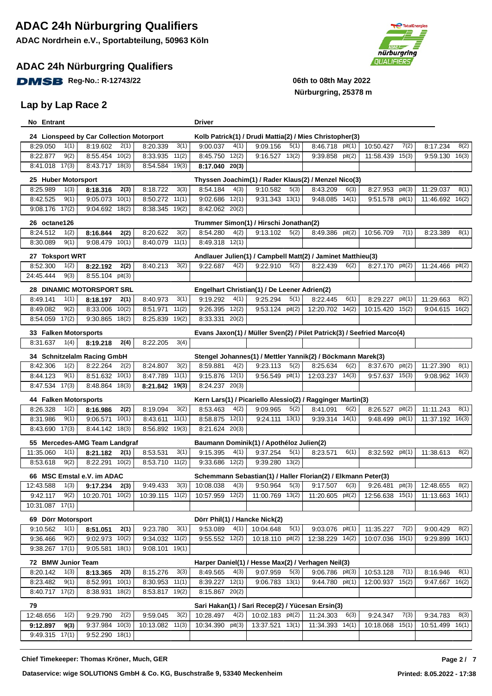### **ADAC 24h Nürburgring Qualifiers**

**DMSB** Reg-No.: R-12743/22 **12.1399 12.15 12.16 12.16 12.16 12.16 12.16 12.16 12.16 12.16 12.16 12.16 12.16 12.16** 

### **Lap by Lap Race 2**



## **Nürburgring, 25378 m**

| No Entrant                                      |                                        |                                      | <b>Driver</b>                        |                                                            |                                                                                   |                                      |                                      |
|-------------------------------------------------|----------------------------------------|--------------------------------------|--------------------------------------|------------------------------------------------------------|-----------------------------------------------------------------------------------|--------------------------------------|--------------------------------------|
| 24 Lionspeed by Car Collection Motorport        |                                        |                                      |                                      |                                                            | Kolb Patrick(1) / Drudi Mattia(2) / Mies Christopher(3)                           |                                      |                                      |
| 8:29.050<br>1(1)                                | 8:19.602<br>2(1)                       | 8:20.339<br>3(1)                     | 9:00.037<br>4(1)                     | 9:09.156<br>5(1)                                           | 8:46.718 pit(1)                                                                   | 10:50.427<br>7(2)                    | 8:17.234<br>8(2)                     |
| 9(2)<br>8:22.877                                | 10(2)<br>8:55.454                      | 11(2)<br>8:33.935                    | 12(2)<br>8:45.750                    | 9:16.527 13(2)                                             | $9:39.858$ pit(2)                                                                 | 15(3)<br>11:58.439                   | $9:59.130$ $16(3)$                   |
| 8:41.018 17(3)                                  | 8:43.717 18(3)                         | 8:54.584<br>19(3)                    | 8:17.040<br>20(3)                    |                                                            |                                                                                   |                                      |                                      |
| 25 Huber Motorsport                             |                                        |                                      |                                      |                                                            | Thyssen Joachim(1) / Rader Klaus(2) / Menzel Nico(3)                              |                                      |                                      |
| 8:25.989<br>1(3)                                | 2(3)<br>8:18.316                       | 3(3)<br>8:18.722                     | 8:54.184<br>4(3)                     | 9:10.582<br>5(3)                                           | 8:43.209<br>6(3)                                                                  | 8:27.953<br>pit(3)                   | 11:29.037<br>8(1)                    |
| 8:42.525<br>9(1)                                | $9:05.073$ 10(1)                       | 11(1)<br>8:50.272                    | 9:02.686<br>12(1)                    | $9:31.343$ $13(1)$                                         | $9:48.085$ 14(1)                                                                  | 9:51.578<br>pit(1)                   | 11:46.692 16(2)                      |
| $9:08.176$ $17(2)$                              | 9:04.692 18(2)                         | 8:38.345 19(2)                       | 8:42.062 20(2)                       |                                                            |                                                                                   |                                      |                                      |
|                                                 |                                        |                                      |                                      |                                                            |                                                                                   |                                      |                                      |
| 26 octane126<br>8:24.512<br>1(2)                | 8:16.844                               | 3(2)<br>8:20.622                     | 4(2)<br>8:54.280                     | Trummer Simon(1) / Hirschi Jonathan(2)<br>9:13.102<br>5(2) | 8:49.386 pit(2)                                                                   | 10:56.709<br>7(1)                    | 8:23.389<br>8(1)                     |
| 8:30.089<br>9(1)                                | 2(2)<br>$9:08.479$ 10(1)               | 8:40.079<br>11(1)                    | 12(1)<br>8:49.318                    |                                                            |                                                                                   |                                      |                                      |
|                                                 |                                        |                                      |                                      |                                                            |                                                                                   |                                      |                                      |
| 27 Toksport WRT                                 |                                        |                                      |                                      |                                                            | Andlauer Julien(1) / Campbell Matt(2) / Jaminet Matthieu(3)                       |                                      |                                      |
| 1(2)<br>8:52.300                                | 8:22.192<br>2(2)                       | 3(2)<br>8:40.213                     | 4(2)<br>9:22.687                     | 5(2)<br>9:22.910                                           | 8:22.439<br>6(2)                                                                  | 8:27.170 pit(2)                      | 11:24.466 pit(2)                     |
| 9(3)<br>24:45.444                               | 8:55.104 pit(3)                        |                                      |                                      |                                                            |                                                                                   |                                      |                                      |
| 28 DINAMIC MOTORSPORT SRL                       |                                        |                                      |                                      | Engelhart Christian(1) / De Leener Adrien(2)               |                                                                                   |                                      |                                      |
| 1(1)<br>8:49.141                                | 8:18.197<br>2(1)                       | 8:40.973<br>3(1)                     | 4(1)<br>9:19.292                     | 9:25.294<br>5(1)                                           | 8:22.445<br>6(1)                                                                  | 8:29.227<br>pit(1)                   | 11:29.663<br>8(2)                    |
| 9(2)<br>8:49.082                                | 10(2)<br>8:33.006                      | 11(2)<br>8:51.971                    | 12(2)<br>9:26.395                    | 9:53.124 pit(2)                                            | 12:20.702 $14(2)$                                                                 | 10:15.420 15(2)                      | 9:04.615 16(2)                       |
| 8:54.059 17(2)                                  | $9:30.865$ 18(2)                       | 8:25.839 19(2)                       | $8:33.331$ $20(2)$                   |                                                            |                                                                                   |                                      |                                      |
| 33 Falken Motorsports                           |                                        |                                      |                                      |                                                            | Evans Jaxon(1) / Müller Sven(2) / Pilet Patrick(3) / Seefried Marco(4)            |                                      |                                      |
| 8:31.637<br>1(4)                                | 2(4)<br>8:19.218                       | 3(4)<br>8:22.205                     |                                      |                                                            |                                                                                   |                                      |                                      |
| 34 Schnitzelalm Racing GmbH                     |                                        |                                      |                                      |                                                            | Stengel Johannes(1) / Mettler Yannik(2) / Böckmann Marek(3)                       |                                      |                                      |
| 1(2)<br>8:42.306                                | 8:22.264<br>2(2)                       | 3(2)<br>8:24.807                     | 4(2)<br>8:59.881                     | 5(2)<br>9:23.113                                           | 8:25.634<br>6(2)                                                                  | 8:37.670<br>pit(2)                   | 11:27.390<br>8(1)                    |
| 9(1)<br>8:44.123                                | 10(1)<br>8:51.632                      | 8:47.789<br>11(1)                    | 12(1)<br>9:15.876                    | 9:56.549 pit(1)                                            | 14(3)<br>12:03.237                                                                | 15(3)<br>9:57.637                    | 9:08.962 16(3)                       |
| 8:47.534<br>17(3)                               | 18(3)<br>8:48.864                      | 8:21.842<br>19(3)                    | 8:24.237<br>20(3)                    |                                                            |                                                                                   |                                      |                                      |
| <b>44 Falken Motorsports</b>                    |                                        |                                      |                                      |                                                            | Kern Lars(1) / Picariello Alessio(2) / Ragginger Martin(3)                        |                                      |                                      |
| 8:26.328<br>1(2)                                | 2(2)<br>8:16.986                       | 8:19.094<br>3(2)                     | 8:53.463<br>4(2)                     | 9:09.965<br>5(2)                                           | 8:41.091<br>6(2)                                                                  | 8:26.527<br>pit(2)                   | 11:11.243<br>8(1)                    |
| 8:31.986<br>9(1)                                | 10(1)<br>9:06.571                      | 8:43.611<br>11(1)                    | 8:58.875<br>12(1)                    | $9:24.111$ 13(1)                                           | 9:39.314<br>14(1)                                                                 | 9:48.499<br>pit(1)                   | 11:37.192 16(3)                      |
| 8:43.690<br>17(3)                               | 8:44.142 18(3)                         | 8:56.892 19(3)                       | 8:21.624<br>20(3)                    |                                                            |                                                                                   |                                      |                                      |
| 55 Mercedes-AMG Team Landgraf                   |                                        |                                      |                                      | Baumann Dominik(1) / Apothéloz Julien(2)                   |                                                                                   |                                      |                                      |
| 11:35.060<br>1(1)                               | 8:21.182<br>2(1)                       | 8:53.531<br>3(1)                     | 9:15.395<br>4(1)                     | 9:37.254<br>5(1)                                           | 8:23.571<br>6(1)                                                                  | 8:32.592 pit(1)                      | 11:38.613<br>8(2)                    |
| 9(2)<br>8:53.618                                | 8:22.291 10(2)                         | 8:53.710 11(2)                       | $9:33.686$ $12(2)$                   | 9:39.280 13(2)                                             |                                                                                   |                                      |                                      |
|                                                 |                                        |                                      |                                      |                                                            |                                                                                   |                                      |                                      |
| 66 MSC Emstal e.V. im ADAC<br>12:43.588<br>1(3) | 2(3)<br>9:17.234                       | 9:49.433<br>3(3)                     | 4(3)<br>10:08.038                    | 9:50.964<br>5(3)                                           | Schemmann Sebastian(1) / Haller Florian(2) / Elkmann Peter(3)<br>9:17.507<br>6(3) | 9:26.481<br>pit(3)                   | 12:48.655<br>8(2)                    |
| 9:42.117<br>9(2)                                | 10:20.701 10(2)                        | 10:39.115 11(2)                      | 10:57.959 12(2)                      | 11:00.769 13(2)                                            | 11:20.605 pit(2)                                                                  | 12:56.638 15(1)                      | 11:13.663 16(1)                      |
| 10:31.087 17(1)                                 |                                        |                                      |                                      |                                                            |                                                                                   |                                      |                                      |
|                                                 |                                        |                                      |                                      |                                                            |                                                                                   |                                      |                                      |
| 69 Dörr Motorsport                              |                                        |                                      | Dörr Phil(1) / Hancke Nick(2)        |                                                            |                                                                                   |                                      |                                      |
| 9:10.562<br>1(1)<br>9:36.466<br>9(2)            | 8:51.051<br>2(1)<br>$9:02.973$ $10(2)$ | 9:23.780<br>3(1)<br>$9:34.032$ 11(2) | 9:53.089<br>4(1)<br>$9:55.552$ 12(2) | 10:04.648<br>5(1)<br>10:18.110 pit(2)                      | 9:03.076 pit(1)<br>12:38.229 14(2)                                                | 7(2)<br>11:35.227<br>10:07.036 15(1) | 9:00.429<br>8(2)<br>$9:29.899$ 16(1) |
| $9:38.267$ 17(1)                                | $9:05.581$ 18(1)                       | $9:08.101$ 19(1)                     |                                      |                                                            |                                                                                   |                                      |                                      |
|                                                 |                                        |                                      |                                      |                                                            |                                                                                   |                                      |                                      |
| 72 BMW Junior Team                              |                                        |                                      |                                      | Harper Daniel(1) / Hesse Max(2) / Verhagen Neil(3)         |                                                                                   |                                      |                                      |
| 8:20.142<br>1(3)                                | 2(3)<br>8:13.365                       | 8:15.276<br>3(3)                     | 8:49.565<br>4(3)                     | 5(3)<br>9:07.959                                           | 9:06.786 pit(3)                                                                   | 10:53.128<br>7(1)                    | 8:16.946<br>8(1)                     |
| 9(1)<br>8:23.482                                | 10(1)<br>8:52.991                      | 8:30.953<br>11(1)                    | 8:39.227 12(1)                       | $9:06.783$ 13(1)                                           | 9:44.780 pit(1)                                                                   | 12:00.937 15(2)                      | $9:47.667$ 16(2)                     |
| 8:40.717 17(2)                                  | 8:38.931 18(2)                         | 8:53.817 19(2)                       | 8:15.867 20(2)                       |                                                            |                                                                                   |                                      |                                      |
| 79                                              |                                        |                                      |                                      | Sari Hakan(1) / Sari Recep(2) / Yücesan Ersin(3)           |                                                                                   |                                      |                                      |
| 12:48.656<br>1(2)                               | 9:29.790<br>2(2)                       | 9:59.045<br>3(2)                     | 10:28.497<br>4(2)                    | 10:02.183 pit(2)                                           | 11:24.303<br>6(3)                                                                 | 9:24.347<br>7(3)                     | 9:34.783<br>8(3)                     |
| 9:12.897<br>9(3)                                | $9:37.984$ $10(3)$                     | 10:13.082 11(3)                      | 10:34.390 pit(3)                     | 13:37.521 13(1)                                            | 11:34.393 14(1)                                                                   | 10:18.068 15(1)                      | 10:51.499 16(1)                      |
| 9:49.315 17(1)                                  | $9:52.290$ 18(1)                       |                                      |                                      |                                                            |                                                                                   |                                      |                                      |

**Chief Timekeeper: Thomas Kröner, Much, GER 7**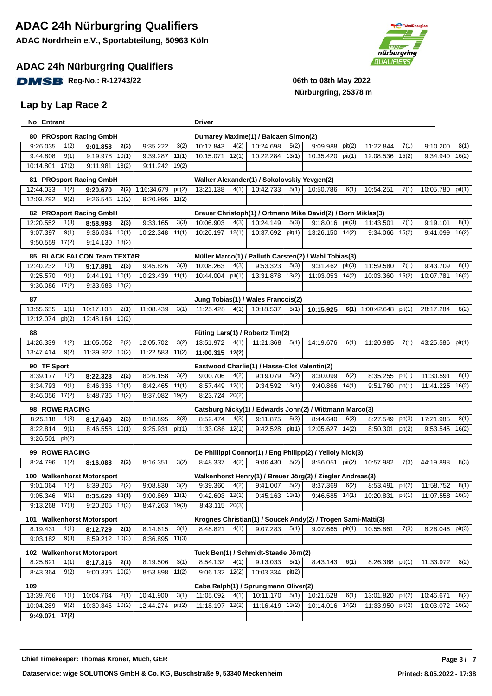#### **ADAC 24h Nürburgring Qualifiers**

**DMSB** Reg-No.: R-12743/22 06th to 08th May 2022

#### **Lap by Lap Race 2**



| No Entrant                                                                               | Driver                                                                                                                                                     |
|------------------------------------------------------------------------------------------|------------------------------------------------------------------------------------------------------------------------------------------------------------|
| 80 PROsport Racing GmbH                                                                  | Dumarey Maxime(1) / Balcaen Simon(2)                                                                                                                       |
| 3(2)<br>9:26.035<br>1(2)<br>9:01.858<br>2(2)<br>9:35.222                                 | 5(2)<br>10:17.843<br>4(2)<br>10:24.698<br>9:09.988<br>pit(2)<br>11:22.844<br>7(1)<br>9:10.200<br>8(1)                                                      |
| $9:19.978$ $10(1)$<br>9:44.808<br>9(1)<br>9:39.287<br>11(1)                              | 10:15.071 12(1)<br>10:22.284 13(1)<br>15(2)<br>10:35.420<br>pit(1)<br>12:08.536<br>9:34.940 16(2)                                                          |
| 10:14.801 17(2)<br>$9:11.981$ 18(2)<br>$9:11.242$ 19(2)                                  |                                                                                                                                                            |
| 81 PROsport Racing GmbH                                                                  | Walker Alexander(1) / Sokolovskiy Yevgen(2)                                                                                                                |
| 1(2)<br>$2(2)$ 1:16:34.679<br>pit(2)<br>12:44.033<br>9:20.670                            | 13:21.138<br>4(1)<br>10:42.733<br>5(1)<br>10:50.786<br>6(1)<br>10:54.251<br>7(1)<br>10:05.780 pit(1)                                                       |
| 12:03.792<br>9(2)<br>9:26.546 10(2)<br>$9:20.995$ 11(2)                                  |                                                                                                                                                            |
| 82 PROsport Racing GmbH                                                                  | Breuer Christoph(1) / Ortmann Mike David(2) / Born Miklas(3)                                                                                               |
| 3(3)<br>12:20.552<br>1(3)<br>9:33.165<br>8:58.993<br>2(3)                                | 10:06.903<br>10:24.149<br>5(3)<br>$9:18.016$ pit(3)<br>7(1)<br>4(3)<br>11:43.501<br>9:19.101<br>8(1)                                                       |
| 9(1)<br>10(1)<br>9:07.397<br>9:36.034<br>10:22.348<br>11(1)                              | 10:37.692 pit(1)<br>13:26.150 14(2)<br>15(2)<br>16(2)<br>10:26.197 12(1)<br>9:34.066<br>9:41.099                                                           |
| 17(2)<br>$9:14.130$ $18(2)$<br>9.50.559                                                  |                                                                                                                                                            |
|                                                                                          |                                                                                                                                                            |
| 85 BLACK FALCON Team TEXTAR<br>1(3)<br>9:45.826<br>3(3)<br>12:40.232<br>9:17.891<br>2(3) | Müller Marco(1) / Palluth Carsten(2) / Wahl Tobias(3)<br>9:53.323<br>5(3)<br>9:31.462 pit(3)<br>7(1)<br>10:08.263<br>4(3)<br>11:59.580<br>9:43.709<br>8(1) |
| 9:25.570<br>9(1)<br>10(1)<br>10:23.439<br>9:44.191<br>11(1)                              | 10:44.004 pit(1)<br>13:31.878 13(2)<br>11:03.053 14(2)<br>10:03.360 15(2)<br>10:07.781<br>16(2)                                                            |
| 17(2)<br>9:36.086<br>$9:33.688$ $18(2)$                                                  |                                                                                                                                                            |
|                                                                                          |                                                                                                                                                            |
| 87                                                                                       | Jung Tobias(1) / Wales Francois(2)                                                                                                                         |
| 13:55.655<br>10:17.108<br>11:08.439<br>3(1)<br>1(1)<br>2(1)                              | 11:25.428<br>4(1)<br>10:18.537<br>1:00:42.648 pit(1)<br>28:17.284<br>5(1)<br>8(2)<br>10:15.925<br>6(1)                                                     |
| pit(2)<br>12:48.164 10(2)<br>12:12.074                                                   |                                                                                                                                                            |
| 88                                                                                       | Füting Lars(1) / Robertz Tim(2)                                                                                                                            |
| 14:26.339<br>1(2)<br>11:05.052<br>2(2)<br>12:05.702<br>3(2)                              | 13:51.972<br>4(1)<br>11:21.368<br>6(1)<br>7(1)<br>5(1)<br>14:19.676<br>11:20.985<br>43:25.586 pit(1)                                                       |
| 9(2)<br>11:39.922 10(2)<br>13:47.414<br>11:22.583 11(2)                                  | 11:00.315 12(2)                                                                                                                                            |
| 90 TF Sport                                                                              | Eastwood Charlie(1) / Hasse-Clot Valentin(2)                                                                                                               |
| 8:39.177<br>1(2)<br>3(2)<br>2(2)<br>8:26.158<br>8:22.328                                 | 4(2)<br>5(2)<br>6(2)<br>8:35.255<br>pit(1)<br>11:30.591<br>9:00.706<br>9:19.079<br>8:30.099<br>8(1)                                                        |
| 9(1)<br>10(1)<br>8:34.793<br>8:46.336<br>8:42.465<br>11(1)                               | 12(1)<br>13(1)<br>14(1)<br>$11:41.225$ $16(2)$<br>8:57.449<br>9:34.592<br>9:51.760<br>pit(1)<br>9:40.866                                                   |
| 17(2)<br>8:46.056<br>8:48.736 18(2)<br>8:37.082<br>19(2)                                 | 8:23.724 20(2)                                                                                                                                             |
| 98 ROWE RACING                                                                           | Catsburg Nicky(1) / Edwards John(2) / Wittmann Marco(3)                                                                                                    |
| 8:25.118<br>8:18.895<br>3(3)<br>1(3)<br>2(3)<br>8:17.640                                 | 8:52.474<br>8:27.549<br>17:21.985<br>4(3)<br>9:11.875<br>5(3)<br>8:44.640<br>6(3)<br>pit(3)<br>8(1)                                                        |
| 9(1)<br>8:22.814<br>8:46.558 10(1)<br>9:25.931<br>pit(1)                                 | 11:33.086 12(1)<br>$9:42.528$ pit(1)<br>12:05.627 14(2)<br>8:50.301<br>pit(2)<br>9:53.545<br>16(2)                                                         |
| 9:26.501<br>pit(2)                                                                       |                                                                                                                                                            |
| 99 ROWE RACING                                                                           | De Phillippi Connor(1) / Eng Philipp(2) / Yelloly Nick(3)                                                                                                  |
| 8:24.796<br>1(2)<br>8:16.351<br>3(2)<br>2(2)<br>8:16.088                                 | 8:48.337<br>4(2)<br>9:06.430<br>5(2)<br>8:56.051 pit(2)<br>10:57.982<br>7(3)<br>44:19.898<br>8(3)                                                          |
| 100 Walkenhorst Motorsport                                                               | Walkenhorst Henry(1) / Breuer Jörg(2) / Ziegler Andreas(3)                                                                                                 |
| 1(2)<br>2(2)<br>3(2)<br>9:01.064<br>8:39.205<br>9:08.830                                 | 4(2)<br>pit(2)<br>9:39.360<br>9:41.007<br>5(2)<br>8:37.369<br>6(2)<br>8:53.491<br>11:58.752<br>8(1)                                                        |
| 9:05.346<br>9(1)<br>8:35.629 10(1)<br>$9:00.869$ 11(1)                                   | $9:42.603$ 12(1)<br>$9:45.163$ 13(1)<br>10:20.831 pit(1)<br>$9:46.585$ 14(1)<br>11:07.558 16(3)                                                            |
| 9:13.268 17(3)<br>$9:20.205$ 18(3)<br>8:47.263 19(3)                                     | 8:43.115 20(3)                                                                                                                                             |
| 101 Walkenhorst Motorsport                                                               | Krognes Christian(1) / Soucek Andy(2) / Trogen Sami-Matti(3)                                                                                               |
| 1(1)<br>3(1)<br>8:19.431<br>8:12.729<br>2(1)<br>8:14.615                                 | 4(1)<br>9:07.283<br>5(1)<br>9:07.665 pit(1)<br>7(3)<br>8:48.821<br>10:55.861<br>8:28.046 pit(3)                                                            |
| 9(3)<br>9:03.182<br>8:59.212 10(3)<br>8:36.895 11(3)                                     |                                                                                                                                                            |
|                                                                                          |                                                                                                                                                            |
| 102 Walkenhorst Motorsport                                                               | Tuck Ben(1) / Schmidt-Staade Jörn(2)                                                                                                                       |
| 3(1)<br>8:25.821<br>1(1)<br>8:19.506<br>8:17.316<br>2(1)                                 | 8:54.132<br>4(1)<br>8:43.143<br>6(1)<br>8:26.388 pit(1)<br>8(2)<br>9:13.033<br>5(1)<br>11:33.972                                                           |
| 9(2)<br>8:43.364<br>9:00.336 10(2)<br>8:53.898 11(2)                                     | $9:06.132$ $12(2)$<br>10:03.334 pit(2)                                                                                                                     |
| 109                                                                                      | Caba Ralph(1) / Sprungmann Oliver(2)                                                                                                                       |
| 10:04.764<br>2(1)<br>10:41.900<br>3(1)<br>13:39.766<br>1(1)                              | 6(1)<br>13:01.820 pit(2)<br>11:05.092<br>4(1)<br>10:11.170<br>5(1)<br>10:21.528<br>10:46.671<br>8(2)                                                       |
| 9(2)<br>10:39.345 10(2)<br>10:04.289<br>12:44.274 pit(2)                                 | 11:18.197 12(2)<br>11:16.419 13(2)<br>10:14.016 14(2)<br>11:33.950 pit(2)<br>10:03.072 16(2)                                                               |
| 9:49.071 17(2)                                                                           |                                                                                                                                                            |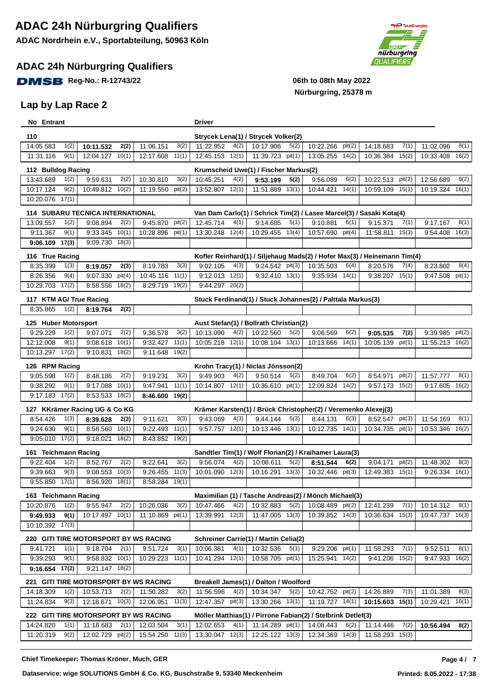#### **ADAC 24h Nürburgring Qualifiers**

**DMSB** Reg-No.: R-12743/22 06th to 08th May 2022

#### **Lap by Lap Race 2**



# **Nürburgring, 25378 m**

| No Entrant              |               |                                                     |        |                                                           |               | <b>Driver</b>                  |       |                                                    |       |                                                                |        |                                                                                  |        |                            |        |
|-------------------------|---------------|-----------------------------------------------------|--------|-----------------------------------------------------------|---------------|--------------------------------|-------|----------------------------------------------------|-------|----------------------------------------------------------------|--------|----------------------------------------------------------------------------------|--------|----------------------------|--------|
| 110                     |               |                                                     |        |                                                           |               |                                |       | Strycek Lena(1) / Strycek Volker(2)                |       |                                                                |        |                                                                                  |        |                            |        |
| 14:05.583               | 1(2)          | 10:11.532                                           | 2(2)   | 11:06.151                                                 | 3(2)          | 11:22.952                      | 4(2)  | 10:17.906                                          | 5(2)  | 10:22.266                                                      | pit(2) | 14:18.683                                                                        | 7(1)   | 11:02.096                  | 8(1)   |
| 11:31.116               | 9(1)          | 12:04.127 10(1)                                     |        | 12:17.608                                                 | 11(1)         | 12:45.153                      | 12(1) | 11:39.723 pit(1)                                   |       | 13:05.255                                                      | 14(2)  | 10:36.384                                                                        | 15(2)  | 10:33.408                  | 16(2)  |
| 112 Bulldog Racing      |               |                                                     |        |                                                           |               |                                |       | Krumscheid Uwe(1) / Fischer Markus(2)              |       |                                                                |        |                                                                                  |        |                            |        |
| 13:43.689               | 1(2)          | 9:59.631                                            | 2(2)   | 10:30.810                                                 | 3(2)          | 10:45.251                      | 4(2)  | 9:53.199                                           | 5(2)  | 9:56.089                                                       | 6(2)   | 10:22.513                                                                        | pit(2) | 12:56.689                  | 8(2)   |
| 10:17.124               | 9(2)          | 10:49.812                                           | 10(2)  | 11:19.550                                                 | pit(2)        | 13:52.807                      | 12(1) | 11:51.889                                          | 13(1) | 10:44.421                                                      | 14(1)  | 10:59.109                                                                        | 15(1)  | 10:19.324                  | 16(1)  |
| 10:20.076               | 17(1)         |                                                     |        |                                                           |               |                                |       |                                                    |       |                                                                |        |                                                                                  |        |                            |        |
|                         |               |                                                     |        |                                                           |               |                                |       |                                                    |       |                                                                |        |                                                                                  |        |                            |        |
| 13:09.557               |               | <b>114 SUBARU TECNICA INTERNATIONAL</b><br>9:08.894 |        |                                                           |               |                                |       |                                                    | 5(1)  |                                                                | 6(1)   | Van Dam Carlo(1) / Schrick Tim(2) / Lasee Marcel(3) / Sasaki Kota(4)<br>9:15.371 |        |                            |        |
| 9:11.367                | 1(2)<br>9(1)  | $9:33.345$ 10(1)                                    | 2(2)   | 9:45.870<br>10:28.896 pit(1)                              | pit(2)        | 12:45.714<br>13:30.248 12(4)   | 4(1)  | 9:14.685<br>10:29.455 13(4)                        |       | 9:10.881<br>10:57.690 pit(4)                                   |        | 11:58.811 15(3)                                                                  | 7(1)   | 9:17.167<br>9:54.408 16(3) | 8(1)   |
| $9:06.109$ 17(3)        |               | 9:09.730 18(3)                                      |        |                                                           |               |                                |       |                                                    |       |                                                                |        |                                                                                  |        |                            |        |
|                         |               |                                                     |        |                                                           |               |                                |       |                                                    |       |                                                                |        |                                                                                  |        |                            |        |
| 116 True Racing         |               |                                                     |        |                                                           |               |                                |       |                                                    |       |                                                                |        | Kofler Reinhard(1) / Siljehaug Mads(2) / Hofer Max(3) / Heinemann Tim(4)         |        |                            |        |
| 8:35.399                | 1(3)          | 8:19.057                                            | 2(3)   | 8:19.783                                                  | 3(3)<br>11(1) | 9:02.105<br>$9:12.013$ $12(1)$ | 4(3)  | 9:24.542 pit(3)                                    |       | 10:35.503                                                      | 6(4)   | 8:20.576                                                                         | 7(4)   | 8:23.802                   | 8(4)   |
| 8:26.356<br>10:29.703   | 9(4)<br>17(2) | 9:07.330<br>8:58.556 18(2)                          | pit(4) | 10:45.116<br>8:29.719 19(2)                               |               | 9:44.297 20(2)                 |       | $9:32.410$ 13(1)                                   |       | $9:35.934$ $14(1)$                                             |        | 9:38.207                                                                         | 15(1)  | 9:47.508                   | pit(1) |
|                         |               |                                                     |        |                                                           |               |                                |       |                                                    |       |                                                                |        |                                                                                  |        |                            |        |
| 117 KTM AG/ True Racing |               |                                                     |        |                                                           |               |                                |       |                                                    |       | Stuck Ferdinand(1) / Stuck Johannes(2) / Palttala Markus(3)    |        |                                                                                  |        |                            |        |
| 8:35.865                | 1(2)          | 8:19.764                                            | 2(2)   |                                                           |               |                                |       |                                                    |       |                                                                |        |                                                                                  |        |                            |        |
| 125 Huber Motorsport    |               |                                                     |        |                                                           |               |                                |       | Aust Stefan(1) / Bollrath Christian(2)             |       |                                                                |        |                                                                                  |        |                            |        |
| 9:29.229                | 1(2)          | 9:07.071                                            | 2(2)   | 9:36.578                                                  | 3(2)          | 10:13.090                      | 4(2)  | 10:22.560                                          | 5(2)  | 9:06.569                                                       | 6(2)   | 9:05.535                                                                         | 7(2)   | 9:39.985                   | pit(2) |
| 12:12.008               | 9(1)          | $9:08.618$ 10(1)                                    |        | 9:32.427                                                  | 11(1)         | 10:05.218 12(1)                |       | 10:08.104 13(1)                                    |       | 10:13.666                                                      | 14(1)  | 10:05.139                                                                        | pit(1) | 11:55.213 16(2)            |        |
| 10:13.297 17(2)         |               | 9:10.831                                            | 18(2)  | 9:11.648                                                  | 19(2)         |                                |       |                                                    |       |                                                                |        |                                                                                  |        |                            |        |
| 126 RPM Racing          |               |                                                     |        |                                                           |               |                                |       | Krohn Tracy(1) / Niclas Jönsson(2)                 |       |                                                                |        |                                                                                  |        |                            |        |
| 9:05.598                | 1(2)          | 8:48.186                                            | 2(2)   | 9:19.231                                                  | 3(2)          | 9:49.903                       | 4(2)  | 9:50.514                                           | 5(2)  | 8:49.704                                                       | 6(2)   | 8:54.971                                                                         | pit(2) | 11:57.777                  | 8(1)   |
| 9:38.292                | 9(1)          | $9:17.088$ $10(1)$                                  |        | 9:47.941                                                  | 11(1)         | 10:14.807 12(1)                |       | 10:36.610 pit(1)                                   |       | 12:09.824 14(2)                                                |        | 9:57.173 15(2)                                                                   |        | 9:17.605                   | 16(2)  |
| $9:17.183$ $17(2)$      |               | 8:53.533 18(2)                                      |        | 8:46.600                                                  | 19(2)         |                                |       |                                                    |       |                                                                |        |                                                                                  |        |                            |        |
|                         |               | 127 KKrämer Racing UG & Co KG                       |        |                                                           |               |                                |       |                                                    |       | Krämer Karsten(1) / Brück Christopher(2) / Veremenko Alexej(3) |        |                                                                                  |        |                            |        |
| 8:54.426                | 1(3)          | 8:39.628                                            | 2(3)   | 9:11.621                                                  | 3(3)          | 9:43.069                       | 4(3)  | 9:44.144                                           | 5(3)  | 8:44.131                                                       | 6(3)   | 8:52.547                                                                         | pit(3) | 11:54.169                  | 8(1)   |
| 9:24.630                | 9(1)          | 8:58.560 10(1)                                      |        | 9:22.493                                                  | 11(1)         | 9:57.757                       | 12(1) | 10:13.446                                          | 13(1) | 10:12.735                                                      | 14(1)  | 10:34.735                                                                        | pit(1) | 10:53.346                  | 16(2)  |
| $9:05.010$ $17(2)$      |               | 9:18.021                                            | 18(2)  | 8:43.852                                                  | 19(2)         |                                |       |                                                    |       |                                                                |        |                                                                                  |        |                            |        |
| 161 Teichmann Racing    |               |                                                     |        |                                                           |               |                                |       |                                                    |       | Sandtler Tim(1) / Wolf Florian(2) / Kraihamer Laura(3)         |        |                                                                                  |        |                            |        |
| 9:22.404                | 1(2)          | 8:52.767                                            | 2(2)   | 9:22.641                                                  | 3(2)          | 9:56.074                       | 4(2)  | 10:08.611                                          | 5(2)  | 8:51.544                                                       | 6(2)   | 9:04.171                                                                         | pit(2) | 11:48.302                  | 8(3)   |
| 9:39.663                | 9(3)          | 9:08.553                                            | 10(3)  | 9:26.455                                                  | 11(3)         | 10:01.090                      | 12(3) | 10:16.291                                          | 13(3) | 10:32.446                                                      | pit(3) | 12:49.383                                                                        | 15(1)  | 9:26.334                   | 16(1)  |
| $9:55.850$ 17(1)        |               | 8:56.920 18(1)                                      |        | 8:58.284                                                  | 19(1)         |                                |       |                                                    |       |                                                                |        |                                                                                  |        |                            |        |
| 163 Teichmann Racing    |               |                                                     |        |                                                           |               |                                |       |                                                    |       | Maximilian (1) / Tasche Andreas(2) / Mönch Michael(3)          |        |                                                                                  |        |                            |        |
| 10:20.876               | 1(2)          | 9:55.947                                            | 2(2)   | 10:26.036                                                 | 3(2)          | 10:47.466                      | 4(2)  | 10:32.883                                          | 5(2)  | 10:08.489 pit(2)                                               |        | 12:41.239                                                                        | 7(1)   | 10:14.312                  | 8(1)   |
| 9:49.933                | 9(1)          | $10:17.497$ $10(1)$                                 |        | 11:10.869 pit(1)                                          |               | 13:39.991 12(3)                |       | 11:47.005 13(3)                                    |       | 10:39.852 14(3)                                                |        | 10:36.634                                                                        | 15(3)  | 10:47.737 16(3)            |        |
| 10:10.392 17(3)         |               |                                                     |        |                                                           |               |                                |       |                                                    |       |                                                                |        |                                                                                  |        |                            |        |
|                         |               |                                                     |        | 220 GITI TIRE MOTORSPORT BY WS RACING                     |               |                                |       | <b>Schreiner Carrie(1) / Martin Celia(2)</b>       |       |                                                                |        |                                                                                  |        |                            |        |
| 9:41.721                | 1(1)          | 9:18.704                                            | 2(1)   | 9:51.724                                                  | 3(1)          | 10:06.381                      | 4(1)  | 10:32.536                                          | 5(1)  | 9:29.206 pit(1)                                                |        | 11:58.293                                                                        | 7(1)   | 9:52.511                   | 8(1)   |
| 9:39.293                | 9(1)          | $9:58.832$ 10(1)                                    |        | 10:29.223 11(1)                                           |               | 10:41.294 12(1)                |       | 10:58.705 pit(1)                                   |       | 15:25.941 14(2)                                                |        | 9:41.206 15(2)                                                                   |        | $9:47.933$ $16(2)$         |        |
| $9:16.654$ 17(2)        |               | 9:21.147 18(2)                                      |        |                                                           |               |                                |       |                                                    |       |                                                                |        |                                                                                  |        |                            |        |
|                         |               |                                                     |        |                                                           |               |                                |       |                                                    |       |                                                                |        |                                                                                  |        |                            |        |
| 14:18.309               | 1(2)          | 10:53.713                                           | 2(2)   | <b>221 GITI TIRE MOTORSPORT BY WS RACING</b><br>11:50.282 | 3(2)          | 11:56.596                      | 4(2)  | Breakell James(1) / Dalton / Woolford<br>10:34.347 | 5(2)  | 10:42.752 pit(2)                                               |        | 14:26.889                                                                        | 7(3)   | 11:01.389                  | 8(3)   |
| 11:24.834               | 9(3)          | 12:18.671 10(3)                                     |        | 12:06.951                                                 | 11(3)         | 12:47.357 pit(3)               |       | 13:30.266 13(1)                                    |       | $11:19.727$ $14(1)$                                            |        | 10:15.603                                                                        | 15(1)  | 10:29.421                  | 16(1)  |
|                         |               |                                                     |        |                                                           |               |                                |       |                                                    |       |                                                                |        |                                                                                  |        |                            |        |
|                         |               |                                                     |        | 222 GITI TIRE MOTORSPORT BY WS RACING                     |               |                                |       |                                                    |       | Möller Matthias(1) / Pirrone Fabian(2) / Stelbrink Detlef(3)   |        |                                                                                  |        |                            |        |
| 14:24.820<br>11:20.319  | 1(1)<br>9(2)  | 11:18.683<br>12:02.729 pit(2)                       | 2(1)   | 12:03.504<br>15:54.250 11(3)                              | 3(1)          | 12:02.653<br>13:30.047 12(3)   | 4(1)  | $12:25.122$ $13(3)$                                |       | 11:14.289 pit(1) 14:08.443<br>12:34.369 14(3)                  | 6(2)   | 11:14.446<br>11:58.293 15(3)                                                     | 7(2)   | 10:56.494                  | 8(2)   |
|                         |               |                                                     |        |                                                           |               |                                |       |                                                    |       |                                                                |        |                                                                                  |        |                            |        |

**Chief Timekeeper: Thomas Kröner, Much, GER 7**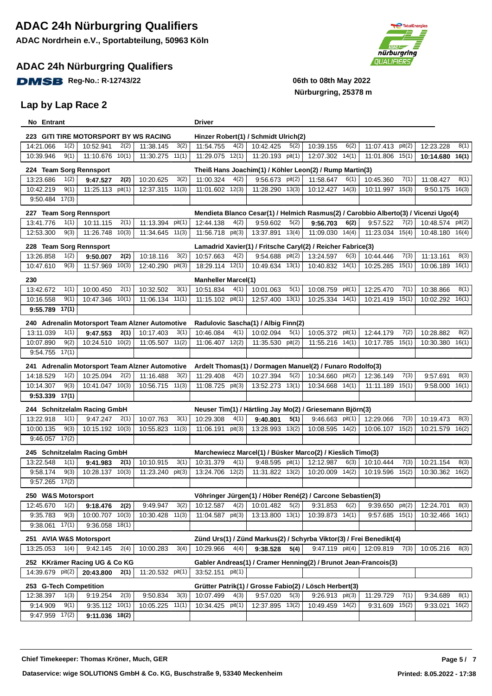#### **ADAC 24h Nürburgring Qualifiers**

**DMSB** Reg-No.: R-12743/22 06th to 08th May 2022

#### **Lap by Lap Race 2**



| No Entrant              |                                                 |                     | Driver                     |                                      |                                                                     |                                                                                     |                  |       |
|-------------------------|-------------------------------------------------|---------------------|----------------------------|--------------------------------------|---------------------------------------------------------------------|-------------------------------------------------------------------------------------|------------------|-------|
|                         | 223 GITI TIRE MOTORSPORT BY WS RACING           |                     |                            | Hinzer Robert(1) / Schmidt Ulrich(2) |                                                                     |                                                                                     |                  |       |
| 14:21.066<br>1(2)       | 10:52.941<br>2(2)                               | 11:38.145<br>3(2)   | 11:54.755<br>4(2)          | 10:42.425<br>5(2)                    | 10:39.155<br>6(2)                                                   | 11:07.413 pit(2)                                                                    | 12:23.228        | 8(1)  |
| 9(1)<br>10:39.946       | 11:10.676 10(1)                                 | 11:30.275 11(1)     | 11:29.075 12(1)            | 11:20.193 pit(1)                     | 12:07.302 14(1)                                                     | 11:01.806 15(1)                                                                     | 10:14.680        | 16(1) |
| 224 Team Sorg Rennsport |                                                 |                     |                            |                                      | Theiß Hans Joachim(1) / Köhler Leon(2) / Rump Martin(3)             |                                                                                     |                  |       |
| 13:23.686<br>1(2)       | 2(2)<br>9:47.527                                | 10:20.625<br>3(2)   | 4(2)<br>11:00.324          | 9:56.673 pit(2)                      | 11:58.647<br>6(1)                                                   | 10:45.360<br>7(1)                                                                   | 11:08.427        | 8(1)  |
| 9(1)<br>10:42.219       | $11:25.113$ pit(1)                              | 11(3)<br>12:37.315  | 12(3)<br>11:01.602         | 11:28.290 13(3)                      | 14(3)<br>10:12.427                                                  | 10:11.997<br>15(3)                                                                  | 9:50.175         | 16(3) |
| 17(3)<br>9:50.484       |                                                 |                     |                            |                                      |                                                                     |                                                                                     |                  |       |
| 227 Team Sorg Rennsport |                                                 |                     |                            |                                      |                                                                     | Mendieta Blanco Cesar(1) / Helmich Rasmus(2) / Carobbio Alberto(3) / Vicenzi Ugo(4) |                  |       |
| 13:41.776<br>1(1)       | 10:11.115<br>2(1)                               | 11:13.394 pit(1)    | 4(2)<br>12:44.138          | 5(2)<br>9:59.602                     | 9:56.703<br>6(2)                                                    | 9:57.522<br>7(2)                                                                    | 10:48.574 pit(2) |       |
| 12:53.300<br>9(3)       | $11:26.748$ $10(3)$                             | 11:34.645 11(3)     | 11:56.718 pit(3)           | 13:37.891 13(4)                      | 11:09.030 14(4)                                                     | 11:23.034 15(4)                                                                     | 10:48.180 16(4)  |       |
| 228 Team Sorg Rennsport |                                                 |                     |                            |                                      | Lamadrid Xavier(1) / Fritsche Caryl(2) / Reicher Fabrice(3)         |                                                                                     |                  |       |
| 13:26.858<br>1(2)       | 2(2)<br>9:50.007                                | 10:18.116<br>3(2)   | 10:57.663<br>4(2)          | 9:54.688 pit(2)                      | 13:24.597<br>6(3)                                                   | 10:44.446<br>7(3)                                                                   | 11:13.161        | 8(3)  |
| 9(3)<br>10:47.610       | 11:57.969 10(3)                                 | 12:40.290<br>pit(3) | 18:29.114 12(1)            | 10:49.634 13(1)                      | 10:40.832 14(1)                                                     | 15(1)<br>10:25.285                                                                  | 10:06.189        | 16(1) |
|                         |                                                 |                     |                            |                                      |                                                                     |                                                                                     |                  |       |
| 230                     |                                                 |                     | <b>Manheller Marcel(1)</b> |                                      |                                                                     |                                                                                     |                  |       |
| 13:42.672<br>1(1)       | 10:00.450<br>2(1)                               | 10:32.502<br>3(1)   | 10:51.834<br>4(1)          | 10:01.063<br>5(1)                    | 10:08.759<br>pit(1)                                                 | 12:25.470<br>7(1)                                                                   | 10:38.866        | 8(1)  |
| 9(1)<br>10:16.558       | 10:47.346<br>10(1)                              | 11:06.134 11(1)     | 11:15.102 pit(1)           | 13(1)<br>12:57.400                   | 10:25.334 14(1)                                                     | 10:21.419<br>15(1)                                                                  | 10:02.292 16(1)  |       |
| 9:55.789<br>17(1)       |                                                 |                     |                            |                                      |                                                                     |                                                                                     |                  |       |
|                         | 240 Adrenalin Motorsport Team Alzner Automotive |                     |                            | Radulovic Sascha(1) / Albig Finn(2)  |                                                                     |                                                                                     |                  |       |
| 13:11.039<br>1(1)       | 2(1)<br>9:47.553                                | 10:17.403<br>3(1)   | 10:46.084<br>4(1)          | 10:02.094<br>5(1)                    | 10:05.372<br>pit(1)                                                 | 12:44.179<br>7(2)                                                                   | 10:28.882        | 8(2)  |
| 10:07.890<br>9(2)       | 10:24.510 10(2)                                 | 11(2)<br>11:05.507  | 12(2)<br>11:06.407         | 11:35.530 pit(2)                     | 11:55.216 14(1)                                                     | 15(1)<br>10:17.785                                                                  | 10:30.380        | 16(1) |
| 17(1)<br>9:54.755       |                                                 |                     |                            |                                      |                                                                     |                                                                                     |                  |       |
|                         | 241 Adrenalin Motorsport Team Alzner Automotive |                     |                            |                                      | Ardelt Thomas(1) / Dormagen Manuel(2) / Funaro Rodolfo(3)           |                                                                                     |                  |       |
| 14:18.529<br>1(2)       | 10:25.094<br>2(2)                               | 11:16.488<br>3(2)   | 11:29.408<br>4(2)          | 10:27.394<br>5(2)                    | 10:34.660<br>pit(2)                                                 | 12:36.149<br>7(3)                                                                   | 9:57.691         | 8(3)  |
| 9(3)<br>10:14.307       | 10:41.047 10(3)                                 | 11(3)<br>10:56.715  | 11:08.725 pit(3)           | 13:52.273 13(1)                      | 14(1)<br>10:34.668                                                  | 15(1)<br>11:11.189                                                                  | 9:58.000         | 16(1) |
| $9:53.339$ 17(1)        |                                                 |                     |                            |                                      |                                                                     |                                                                                     |                  |       |
|                         | 244 Schnitzelalm Racing GmbH                    |                     |                            |                                      | Neuser Tim(1) / Härtling Jay Mo(2) / Griesemann Björn(3)            |                                                                                     |                  |       |
| 1(1)<br>13:22.918       | 9:47.247<br>2(1)                                | 10:07.763<br>3(1)   | 4(1)<br>10:29.308          | 5(1)<br>9:40.801                     | $9:46.663$ pit(1)                                                   | 7(3)<br>12:29.066                                                                   | 10:19.473        | 8(3)  |
| 10:00.135<br>9(3)       | 10:15.192 10(3)                                 | 10:55.823 11(3)     | pit(3)<br>11:06.191        | 13:28.993 13(2)                      | 10:08.595 14(2)                                                     | 10:06.107<br>15(2)                                                                  | 10:21.579        | 16(2) |
| $9:46.057$ 17(2)        |                                                 |                     |                            |                                      |                                                                     |                                                                                     |                  |       |
|                         | 245 Schnitzelalm Racing GmbH                    |                     |                            |                                      | Marchewiecz Marcel(1) / Büsker Marco(2) / Kieslich Timo(3)          |                                                                                     |                  |       |
| 1(1)<br>13:22.548       | 9:41.983<br>2(1)                                | 10:10.915<br>3(1)   | 4(1)<br>10:31.379          | 9:48.595 pit(1)                      | 12:12.987<br>6(3)                                                   | 7(3)<br>10:10.444                                                                   | 10:21.154        | 8(3)  |
| 9(3)<br>9:58.174        | 10:28.137 10(3)                                 | 11:23.240<br>pit(3) | 12(2)<br>13:24.706         | 11:31.822 13(2)                      | 14(2)<br>10:20.009                                                  | 10:19.596<br>15(2)                                                                  | 10:30.362 16(2)  |       |
| $9:57.265$ $17(2)$      |                                                 |                     |                            |                                      |                                                                     |                                                                                     |                  |       |
| 250 W&S Motorsport      |                                                 |                     |                            |                                      | Vöhringer Jürgen(1) / Höber René(2) / Carcone Sebastien(3)          |                                                                                     |                  |       |
| 12:45.670<br>1(2)       | 9:18.476<br>2(2)                                | 9:49.947<br>3(2)    | 10:12.587<br>4(2)          | 5(2)<br>10:01.482                    | 9:31.853<br>6(2)                                                    | 9:39.650<br>pit(2)                                                                  | 12:24.701        | 8(3)  |
| 9:35.783<br>9(3)        | 10:00.707 10(3)                                 | 10:30.428<br>11(3)  | 11:04.587<br>pit(3)        | 13:13.800 13(1)                      | 10:39.873 14(1)                                                     | $9:57.685$ 15(1)                                                                    | 10:32.466 16(1)  |       |
| $9:38.061$ 17(1)        | $9:36.058$ 18(1)                                |                     |                            |                                      |                                                                     |                                                                                     |                  |       |
| 251 AVIA W&S Motorsport |                                                 |                     |                            |                                      | Zünd Urs(1) / Zünd Markus(2) / Schyrba Viktor(3) / Frei Benedikt(4) |                                                                                     |                  |       |
| 13:25.053<br>1(4)       | 2(4)<br>9:42.145                                | 10:00.283<br>3(4)   | 4(4)<br>10:29.966          | 5(4)<br>9:38.528                     | 9:47.119 pit(4)                                                     | 7(3)<br>12:09.819                                                                   | 10:05.216        | 8(3)  |
|                         | 252 KKrämer Racing UG & Co KG                   |                     |                            |                                      | Gabler Andreas(1) / Cramer Henning(2) / Brunot Jean-Francois(3)     |                                                                                     |                  |       |
| 14:39.679 pit(2)        | 20:43.800<br>2(1)                               | 11:20.532 pit(1)    | 33:52.151 pit(1)           |                                      |                                                                     |                                                                                     |                  |       |
| 253 G-Tech Competition  |                                                 |                     |                            |                                      | Grütter Patrik(1) / Grosse Fabio(2) / Lösch Herbert(3)              |                                                                                     |                  |       |
| 1(3)<br>12:38.397       | 2(3)<br>9:19.254                                | 3(3)<br>9:50.834    | 10:07.499<br>4(3)          | 9:57.020<br>5(3)                     | 9:26.913 pit(3)                                                     | 7(1)<br>11:29.729                                                                   | 9:34.689         | 8(1)  |
| 9:14.909<br>9(1)        | $9:35.112$ 10(1)                                | 10:05.225<br>11(1)  | 10:34.425 pit(1)           | 12:37.895 13(2)                      | 10:49.459 14(2)                                                     | 15(2)<br>9:31.609                                                                   | 9:33.021         | 16(2) |
| 9:47.959 17(2)          | 9:11.036 18(2)                                  |                     |                            |                                      |                                                                     |                                                                                     |                  |       |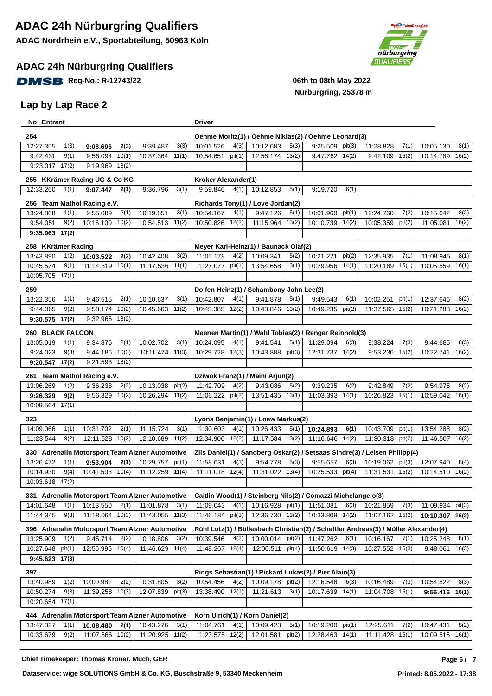### **ADAC 24h Nürburgring Qualifiers**

**DMSB** Reg-No.: R-12743/22 06th to 08th May 2022

### **Lap by Lap Race 2**



| No Entrant              |              |                               |       |                                                              |        | <b>Driver</b>          |               |                                         |        |                                                               |        |                                                                                                  |                |                        |               |
|-------------------------|--------------|-------------------------------|-------|--------------------------------------------------------------|--------|------------------------|---------------|-----------------------------------------|--------|---------------------------------------------------------------|--------|--------------------------------------------------------------------------------------------------|----------------|------------------------|---------------|
| 254                     |              |                               |       |                                                              |        |                        |               |                                         |        | Oehme Moritz(1) / Oehme Niklas(2) / Oehme Leonard(3)          |        |                                                                                                  |                |                        |               |
| 12:27.355               | 1(3)         | 9:08.696                      | 2(3)  | 9:39.487                                                     | 3(3)   | 10:01.526              | 4(3)          | 10:12.683                               | 5(3)   | 9:25.509                                                      | pit(3) | 11:28.828                                                                                        | 7(1)           | 10:05.130              | 8(1)          |
| 9:42.431                | 9(1)         | 9:56.094                      | 10(1) | 10:37.364                                                    | 11(1)  | 10:54.651              | pit(1)        | $12:56.174$ $13(2)$                     |        | 9:47.762 14(2)                                                |        | 9:42.109                                                                                         | 15(2)          | 10:14.789              | 16(2)         |
| $9:23.017$ $17(2)$      |              | 9:19.969 18(2)                |       |                                                              |        |                        |               |                                         |        |                                                               |        |                                                                                                  |                |                        |               |
|                         |              | 255 KKrämer Racing UG & Co KG |       |                                                              |        | Kroker Alexander(1)    |               |                                         |        |                                                               |        |                                                                                                  |                |                        |               |
| 12:33.260               | 1(1)         | 9:07.447                      | 2(1)  | 9:36.796                                                     | 3(1)   | 9:59.846               | 4(1)          | 10:12.853                               | 5(1)   | 9:19.720                                                      | 6(1)   |                                                                                                  |                |                        |               |
|                         |              |                               |       |                                                              |        |                        |               |                                         |        |                                                               |        |                                                                                                  |                |                        |               |
| 13:24.868               |              | 256 Team Mathol Racing e.V.   |       |                                                              |        |                        |               | Richards Tony(1) / Love Jordan(2)       |        |                                                               |        |                                                                                                  |                |                        |               |
| 9:54.051                | 1(1)<br>9(2) | 9:55.089<br>10:16.100 10(2)   | 2(1)  | 10:19.851<br>10:54.513 11(2)                                 | 3(1)   | 10:54.167<br>10:50.826 | 4(1)<br>12(2) | 9:47.126<br>11:15.964 13(2)             | 5(1)   | 10:01.960<br>10:10.739 14(2)                                  | pit(1) | 12:24.760<br>10:05.359                                                                           | 7(2)<br>pit(2) | 10:15.642<br>11:05.081 | 8(2)<br>16(2) |
| 9:35.963 17(2)          |              |                               |       |                                                              |        |                        |               |                                         |        |                                                               |        |                                                                                                  |                |                        |               |
|                         |              |                               |       |                                                              |        |                        |               |                                         |        |                                                               |        |                                                                                                  |                |                        |               |
| 258 KKrämer Racing      |              |                               |       |                                                              |        |                        |               | Meyer Karl-Heinz(1) / Baunack Olaf(2)   |        |                                                               |        |                                                                                                  |                |                        |               |
| 13:43.890               | 1(2)         | 10:03.522                     | 2(2)  | 10:42.408                                                    | 3(2)   | 11:05.178              | 4(2)          | 10:09.341                               | 5(2)   | 10:21.221                                                     | pit(2) | 12:35.935                                                                                        | 7(1)           | 11:08.945              | 8(1)          |
| 10:45.574               | 9(1)         | 11:14.319 10(1)               |       | 11:17.536 11(1)                                              |        | 11:27.077              | pit(1)        | 13:54.658 13(1)                         |        | 10:29.956 14(1)                                               |        | 11:20.189 15(1)                                                                                  |                | 10:05.559 16(1)        |               |
| 10:05.705               | 17(1)        |                               |       |                                                              |        |                        |               |                                         |        |                                                               |        |                                                                                                  |                |                        |               |
| 259                     |              |                               |       |                                                              |        |                        |               | Dolfen Heinz(1) / Schambony John Lee(2) |        |                                                               |        |                                                                                                  |                |                        |               |
| 13:22.356               | 1(1)         | 9:46.515                      | 2(1)  | 10:10.637                                                    | 3(1)   | 10:42.807              | 4(1)          | 9:41.878                                | 5(1)   | 9:49.543                                                      | 6(1)   | 10:02.251                                                                                        | pit(1)         | 12:37.646              | 8(2)          |
| 9:44.065                | 9(2)         | 9:58.174                      | 10(2) | 10:45.663                                                    | 11(2)  | 10:45.385              | 12(2)         | 10:43.846 13(2)                         |        | 10:49.235                                                     | pit(2) | 11:37.565                                                                                        | 15(2)          | 10:21.283              | 16(2)         |
| 9:30.575                | 17(2)        | 9:32.966 18(2)                |       |                                                              |        |                        |               |                                         |        |                                                               |        |                                                                                                  |                |                        |               |
| <b>260 BLACK FALCON</b> |              |                               |       |                                                              |        |                        |               |                                         |        | Meenen Martin(1) / Wahl Tobias(2) / Renger Reinhold(3)        |        |                                                                                                  |                |                        |               |
| 13:05.019               | 1(1)         | 9:34.875                      | 2(1)  | 10:02.702                                                    | 3(1)   | 10:24.095              | 4(1)          | 9:41.541                                | 5(1)   | 11:29.094                                                     | 6(3)   | 9:38.224                                                                                         | 7(3)           | 9:44.685               | 8(3)          |
| 9:24.023                | 9(3)         | 9:44.186                      | 10(3) | 10:11.474 11(3)                                              |        | 10:29.728              | 12(3)         | 10:43.888 pit(3)                        |        | 12:31.737 14(2)                                               |        | 9:53.236                                                                                         | 15(2)          | 10:22.741 16(2)        |               |
| 9:20.547                | 17(2)        | 9:21.593 18(2)                |       |                                                              |        |                        |               |                                         |        |                                                               |        |                                                                                                  |                |                        |               |
|                         |              | 261 Team Mathol Racing e.V.   |       |                                                              |        |                        |               | Dziwok Franz(1) / Maini Arjun(2)        |        |                                                               |        |                                                                                                  |                |                        |               |
| 13:06.269               | 1(2)         | 9:36.238                      | 2(2)  | 10:13.038                                                    | pit(2) | 11:42.709              | 4(2)          | 9:43.086                                | 5(2)   | 9:39.235                                                      | 6(2)   | 9:42.849                                                                                         | 7(2)           | 9:54.975               | 8(2)          |
| 9:26.329                | 9(2)         | $9:56.329$ $10(2)$            |       | 10:26.294 11(2)                                              |        | 11:06.222 pit(2)       |               | 13:51.435 13(1)                         |        | 11:03.393 14(1)                                               |        | 10:26.823                                                                                        | 15(1)          | 10:59.042 16(1)        |               |
| 10:09.564 17(1)         |              |                               |       |                                                              |        |                        |               |                                         |        |                                                               |        |                                                                                                  |                |                        |               |
| 323                     |              |                               |       |                                                              |        |                        |               | Lyons Benjamin(1) / Loew Markus(2)      |        |                                                               |        |                                                                                                  |                |                        |               |
| 14:09.066               | 1(1)         | 10:31.702                     | 2(1)  | 11:15.724                                                    | 3(1)   | 11:30.603              | 4(1)          | 10:26.433                               | 5(1)   | 10:24.893                                                     | 6(1)   | 10:43.709                                                                                        | pit(1)         | 13:54.288              | 8(2)          |
| 11:23.544               | 9(2)         | 12:11.528 10(2)               |       | 12:10.689                                                    | 11(2)  | 12:34.906              | 12(2)         | 11:17.584 13(2)                         |        | 11:16.646 14(2)                                               |        | 11:30.318 pit(2)                                                                                 |                | 11:46.507 16(2)        |               |
|                         |              |                               |       | 330 Adrenalin Motorsport Team Alzner Automotive              |        |                        |               |                                         |        |                                                               |        | Zils Daniel(1) / Sandberg Oskar(2) / Setsaas Sindre(3) / Leisen Philipp(4)                       |                |                        |               |
| 13:26.472               | 1(1)         | 9:53.904                      | 2(1)  | 10:29.757                                                    | pit(1) | 11:58.631              | 4(3)          | 9:54.778                                | 5(3)   | 9:55.657                                                      | 6(3)   | 10:19.062                                                                                        | pit(3)         | 12:07.940              | 8(4)          |
| 10:14.930               | 9(4)         | 10:41.503                     | 10(4) | 11:12.259                                                    | 11(4)  | 11:11.018              | 12(4)         | 11:31.022 13(4)                         |        | 10:25.533                                                     | pit(4) | 11:31.531                                                                                        | 15(2)          | 10:14.510              | 16(2)         |
| 10:03.618               | 17(2)        |                               |       |                                                              |        |                        |               |                                         |        |                                                               |        |                                                                                                  |                |                        |               |
|                         |              |                               |       | 331 Adrenalin Motorsport Team Alzner Automotive              |        |                        |               |                                         |        | Caitlin Wood(1) / Steinberg Nils(2) / Comazzi Michelangelo(3) |        |                                                                                                  |                |                        |               |
| 14:01.648               | 1(1)         | 10:13.550                     | 2(1)  | 11:01.878                                                    | 3(1)   | 11:09.043              | 4(1)          | 10:16.928 pit(1)                        |        | 11:51.081                                                     | 6(3)   | 10:21.859                                                                                        | 7(3)           | 11:09.934 pit(3)       |               |
| 11:44.345               | 9(3)         | $11:18.064$ 10(3)             |       | 11:43.055 11(3)                                              |        | 11:46.184 pit(3)       |               | 12:36.730 13(2)                         |        | 10:33.809 14(2)                                               |        | 11:07.162 15(2)                                                                                  |                | 10:10.307 16(2)        |               |
|                         |              |                               |       |                                                              |        |                        |               |                                         |        |                                                               |        |                                                                                                  |                |                        |               |
| 13:25.909               | 1(2)         | 9:45.714                      | 2(2)  | 396 Adrenalin Motorsport Team Alzner Automotive<br>10:18.806 | 3(2)   | 10:39.546              | 4(2)          | 10:00.014 pit(2)                        |        | 11:47.262                                                     | 6(1)   | Rühl Lutz(1) / Büllesbach Christian(2) / Schettler Andreas(3) / Müller Alexander(4)<br>10:16.167 | 7(1)           | 10:25.248              | 8(1)          |
| 10:27.648               | pit(1)       | 12:56.995 10(4)               |       | 11:46.629 11(4)                                              |        | 11:48.267 12(4)        |               | 12:06.511 pit(4)                        |        | 11:50.619 14(3)                                               |        | 10:27.552 15(3)                                                                                  |                | 9:48.061               | 16(3)         |
| $9:45.623$ 17(3)        |              |                               |       |                                                              |        |                        |               |                                         |        |                                                               |        |                                                                                                  |                |                        |               |
|                         |              |                               |       |                                                              |        |                        |               |                                         |        |                                                               |        |                                                                                                  |                |                        |               |
| 397                     |              |                               |       |                                                              |        |                        |               |                                         |        | Rings Sebastian(1) / Pickard Lukas(2) / Pier Alain(3)         |        |                                                                                                  |                |                        |               |
| 13:40.989               | 1(2)         | 10:00.981                     | 2(2)  | 10:31.805                                                    | 3(2)   | 10:54.456              | 4(2)          | 10:09.178 $pit(2)$                      |        | 12:16.548                                                     | 6(3)   | 10:16.489                                                                                        | 7(3)           | 10:54.822              | 8(3)          |
| 10:50.274               | 9(3)         | 11:39.258 10(3)               |       | 12:07.839                                                    | pit(3) | 13:38.490 12(1)        |               | $11:21.613$ $13(1)$                     |        | 10:17.639 14(1)                                               |        | 11:04.708                                                                                        | 15(1)          | $9:56.416$ 16(1)       |               |
| 10:20.654               | 17(1)        |                               |       |                                                              |        |                        |               |                                         |        |                                                               |        |                                                                                                  |                |                        |               |
|                         |              |                               |       | 444 Adrenalin Motorsport Team Alzner Automotive              |        |                        |               | Korn Ulrich(1) / Korn Daniel(2)         |        |                                                               |        |                                                                                                  |                |                        |               |
| 13:47.327               | 1(1)         | 10:08.480                     | 2(1)  | 10:43.276                                                    | 3(1)   | 11:04.761              | 4(1)          | 10:09.423                               | 5(1)   | 10:19.200 pit(1)                                              |        | 12:25.611                                                                                        | 7(2)           | 10:47.431              | 8(2)          |
| 10:33.679               | 9(2)         | 11:07.666 10(2)               |       | 11:20.925 11(2)                                              |        | 11:23.575 12(2)        |               | 12:01.581                               | pit(2) | 12:28.463 14(1)                                               |        | 11:11.428 15(1)                                                                                  |                | 10:09.515 16(1)        |               |